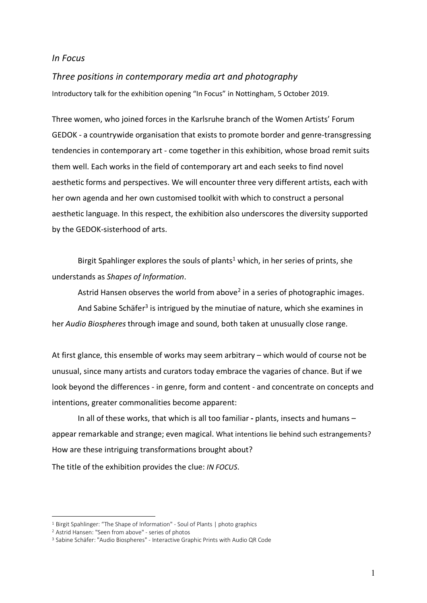## *In Focus*

## *Three positions in contemporary media art and photography*

Introductory talk for the exhibition opening "In Focus" in Nottingham, 5 October 2019.

Three women, who joined forces in the Karlsruhe branch of the Women Artists' Forum GEDOK - a countrywide organisation that exists to promote border and genre-transgressing tendencies in contemporary art - come together in this exhibition, whose broad remit suits them well. Each works in the field of contemporary art and each seeks to find novel aesthetic forms and perspectives. We will encounter three very different artists, each with her own agenda and her own customised toolkit with which to construct a personal aesthetic language. In this respect, the exhibition also underscores the diversity supported by the GEDOK-sisterhood of arts.

Birgit Spahlinger explores the souls of plants<sup>1</sup> which, in her series of prints, she understands as *Shapes of Information*.

Astrid Hansen observes the world from above<sup>2</sup> in a series of photographic images. And Sabine Schäfer<sup>3</sup> is intrigued by the minutiae of nature, which she examines in her *Audio Biospheres* through image and sound, both taken at unusually close range.

At first glance, this ensemble of works may seem arbitrary – which would of course not be unusual, since many artists and curators today embrace the vagaries of chance. But if we look beyond the differences - in genre, form and content - and concentrate on concepts and intentions, greater commonalities become apparent:

In all of these works, that which is all too familiar **-** plants, insects and humans – appear remarkable and strange; even magical. What intentions lie behind such estrangements? How are these intriguing transformations brought about?

The title of the exhibition provides the clue: *IN FOCUS*.

 $\overline{a}$ 

<sup>&</sup>lt;sup>1</sup> Birgit Spahlinger: "The Shape of Information" - Soul of Plants | photo graphics

<sup>2</sup> Astrid Hansen: "Seen from above" - series of photos

<sup>3</sup> Sabine Schäfer: "Audio Biospheres" - Interactive Graphic Prints with Audio QR Code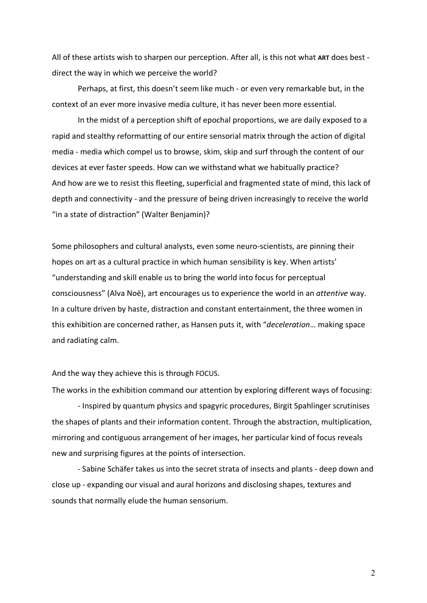All of these artists wish to sharpen our perception. After all, is this not what **ART** does best direct the way in which we perceive the world?

Perhaps, at first, this doesn't seem like much - or even very remarkable but, in the context of an ever more invasive media culture, it has never been more essential.

In the midst of a perception shift of epochal proportions, we are daily exposed to a rapid and stealthy reformatting of our entire sensorial matrix through the action of digital media - media which compel us to browse, skim, skip and surf through the content of our devices at ever faster speeds. How can we withstand what we habitually practice? And how are we to resist this fleeting, superficial and fragmented state of mind, this lack of depth and connectivity - and the pressure of being driven increasingly to receive the world "in a state of distraction" (Walter Benjamin)?

Some philosophers and cultural analysts, even some neuro-scientists, are pinning their hopes on art as a cultural practice in which human sensibility is key. When artists' "understanding and skill enable us to bring the world into focus for perceptual consciousness" (Alva Noë), art encourages us to experience the world in an *attentive* way. In a culture driven by haste, distraction and constant entertainment, the three women in this exhibition are concerned rather, as Hansen puts it, with "*deceleration*… making space and radiating calm.

And the way they achieve this is through FOCUS.

The works in the exhibition command our attention by exploring different ways of focusing:

- Inspired by quantum physics and spagyric procedures, Birgit Spahlinger scrutinises the shapes of plants and their information content. Through the abstraction, multiplication, mirroring and contiguous arrangement of her images, her particular kind of focus reveals new and surprising figures at the points of intersection.

- Sabine Schäfer takes us into the secret strata of insects and plants - deep down and close up - expanding our visual and aural horizons and disclosing shapes, textures and sounds that normally elude the human sensorium.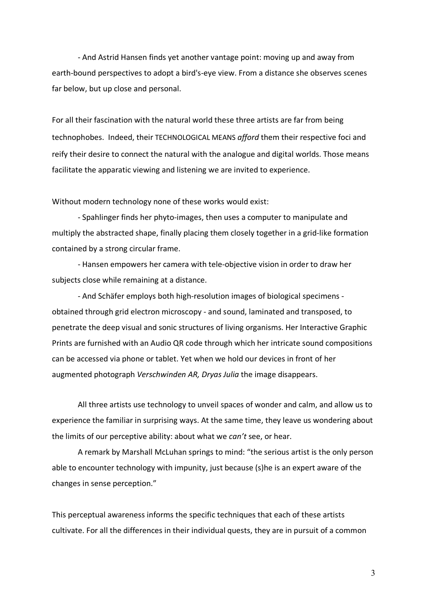- And Astrid Hansen finds yet another vantage point: moving up and away from earth-bound perspectives to adopt a bird's-eye view. From a distance she observes scenes far below, but up close and personal.

For all their fascination with the natural world these three artists are far from being technophobes. Indeed, their TECHNOLOGICAL MEANS *afford* them their respective foci and reify their desire to connect the natural with the analogue and digital worlds. Those means facilitate the apparatic viewing and listening we are invited to experience.

Without modern technology none of these works would exist:

- Spahlinger finds her phyto-images, then uses a computer to manipulate and multiply the abstracted shape, finally placing them closely together in a grid-like formation contained by a strong circular frame.

- Hansen empowers her camera with tele-objective vision in order to draw her subjects close while remaining at a distance.

- And Schäfer employs both high-resolution images of biological specimens obtained through grid electron microscopy - and sound, laminated and transposed, to penetrate the deep visual and sonic structures of living organisms. Her Interactive Graphic Prints are furnished with an Audio QR code through which her intricate sound compositions can be accessed via phone or tablet. Yet when we hold our devices in front of her augmented photograph *Verschwinden AR, Dryas Julia* the image disappears.

All three artists use technology to unveil spaces of wonder and calm, and allow us to experience the familiar in surprising ways. At the same time, they leave us wondering about the limits of our perceptive ability: about what we *can't* see, or hear.

A remark by Marshall McLuhan springs to mind: "the serious artist is the only person able to encounter technology with impunity, just because (s)he is an expert aware of the changes in sense perception."

This perceptual awareness informs the specific techniques that each of these artists cultivate. For all the differences in their individual quests, they are in pursuit of a common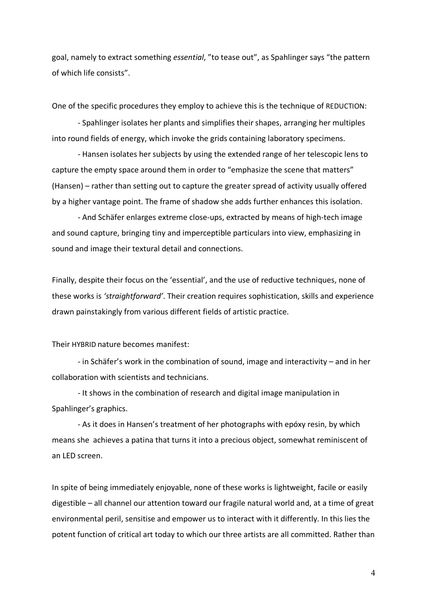goal, namely to extract something *essential*, "to tease out", as Spahlinger says "the pattern of which life consists".

One of the specific procedures they employ to achieve this is the technique of REDUCTION:

- Spahlinger isolates her plants and simplifies their shapes, arranging her multiples into round fields of energy, which invoke the grids containing laboratory specimens.

- Hansen isolates her subjects by using the extended range of her telescopic lens to capture the empty space around them in order to "emphasize the scene that matters" (Hansen) – rather than setting out to capture the greater spread of activity usually offered by a higher vantage point. The frame of shadow she adds further enhances this isolation.

- And Schäfer enlarges extreme close-ups, extracted by means of high-tech image and sound capture, bringing tiny and imperceptible particulars into view, emphasizing in sound and image their textural detail and connections.

Finally, despite their focus on the 'essential', and the use of reductive techniques, none of these works is *'straightforward'*. Their creation requires sophistication, skills and experience drawn painstakingly from various different fields of artistic practice.

## Their HYBRID nature becomes manifest:

- in Schäfer's work in the combination of sound, image and interactivity – and in her collaboration with scientists and technicians.

- It shows in the combination of research and digital image manipulation in Spahlinger's graphics.

- As it does in Hansen's treatment of her photographs with epóxy resin, by which means she achieves a patina that turns it into a precious object, somewhat reminiscent of an LED screen.

In spite of being immediately enjoyable, none of these works is lightweight, facile or easily digestible – all channel our attention toward our fragile natural world and, at a time of great environmental peril, sensitise and empower us to interact with it differently. In this lies the potent function of critical art today to which our three artists are all committed. Rather than